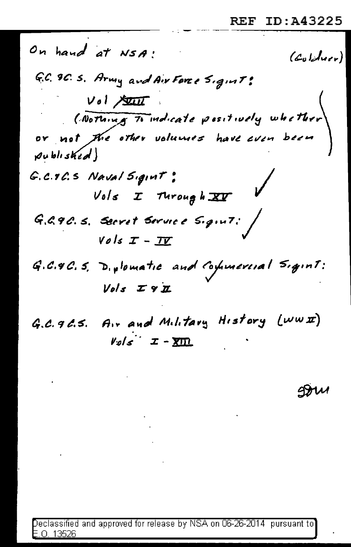On hand at NSA!  $(c_{\text{al}})$ G.C. 9C. S. Army and Air Force Sigint:  $Vol$  state ( Nothing To indicate positively whether or not the other volumes have even been published) G.C.T.C.S Naval Sigint:  $Vols$  I Turough  $XY$ G.G.9C.S. Secret Service Sigint: /  $Vols$   $I - II$ G.C.4C.S. D. plomatic and Commercial Sigint:  $Vols Z9Z$ 

G.C. 96.5. Air and Military History (www)  $V_{\mathcal{Q}}/s$   $\mathcal{I}$  -  $\overline{\text{X}}$   $\overline{\text{Y}}$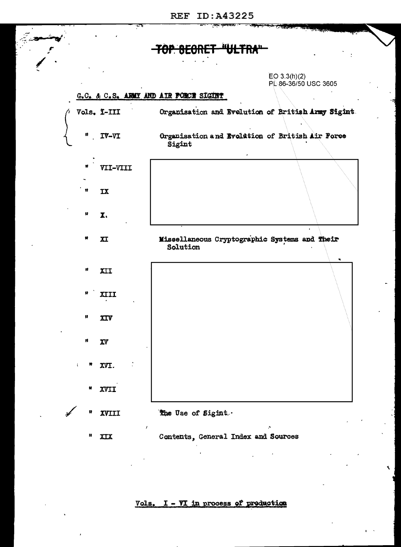$EO 3.3(h)(2)$ PL 86-36/50 USC 3605

## G.C. & C.S. ARMY AND AIR FORCE SIGHT



Vols. I - VI in process of production